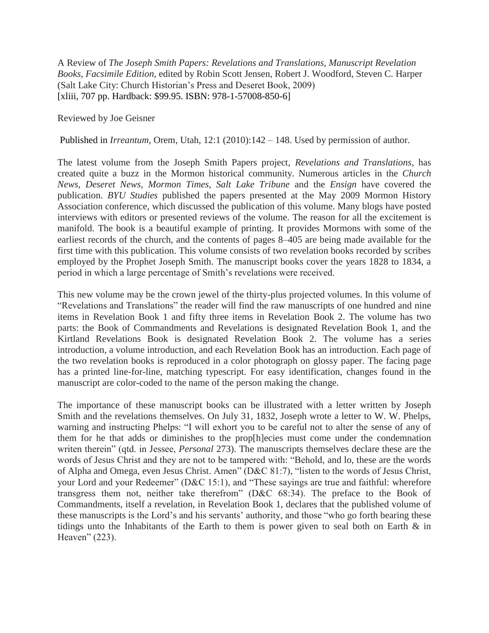A Review of *The Joseph Smith Papers: Revelations and Translations, Manuscript Revelation Books, Facsimile Edition,* edited by Robin Scott Jensen, Robert J. Woodford, Steven C. Harper (Salt Lake City: Church Historian's Press and Deseret Book, 2009) [xliii, 707 pp. Hardback: \$99.95. ISBN: 978-1-57008-850-6]

Reviewed by Joe Geisner

Published in *Irreantum*, Orem, Utah, 12:1 (2010):142 – 148. Used by permission of author.

The latest volume from the Joseph Smith Papers project, *Revelations and Translations*, has created quite a buzz in the Mormon historical community. Numerous articles in the *Church News, Deseret News, Mormon Times, Salt Lake Tribune* and the *Ensign* have covered the publication. *BYU Studies* published the papers presented at the May 2009 Mormon History Association conference, which discussed the publication of this volume. Many blogs have posted interviews with editors or presented reviews of the volume. The reason for all the excitement is manifold. The book is a beautiful example of printing. It provides Mormons with some of the earliest records of the church, and the contents of pages 8–405 are being made available for the first time with this publication. This volume consists of two revelation books recorded by scribes employed by the Prophet Joseph Smith. The manuscript books cover the years 1828 to 1834, a period in which a large percentage of Smith's revelations were received.

This new volume may be the crown jewel of the thirty-plus projected volumes. In this volume of "Revelations and Translations" the reader will find the raw manuscripts of one hundred and nine items in Revelation Book 1 and fifty three items in Revelation Book 2. The volume has two parts: the Book of Commandments and Revelations is designated Revelation Book 1, and the Kirtland Revelations Book is designated Revelation Book 2. The volume has a series introduction, a volume introduction, and each Revelation Book has an introduction. Each page of the two revelation books is reproduced in a color photograph on glossy paper. The facing page has a printed line-for-line, matching typescript. For easy identification, changes found in the manuscript are color-coded to the name of the person making the change.

The importance of these manuscript books can be illustrated with a letter written by Joseph Smith and the revelations themselves. On July 31, 1832, Joseph wrote a letter to W. W. Phelps, warning and instructing Phelps: "I will exhort you to be careful not to alter the sense of any of them for he that adds or diminishes to the prop[h]ecies must come under the condemnation writen therein" (qtd. in Jessee, *Personal* 273). The manuscripts themselves declare these are the words of Jesus Christ and they are not to be tampered with: "Behold, and lo, these are the words of Alpha and Omega, even Jesus Christ. Amen" (D&C 81:7), "listen to the words of Jesus Christ, your Lord and your Redeemer" (D&C 15:1), and "These sayings are true and faithful: wherefore transgress them not, neither take therefrom" (D&C 68:34). The preface to the Book of Commandments, itself a revelation, in Revelation Book 1, declares that the published volume of these manuscripts is the Lord's and his servants' authority, and those "who go forth bearing these tidings unto the Inhabitants of the Earth to them is power given to seal both on Earth & in Heaven"  $(223)$ .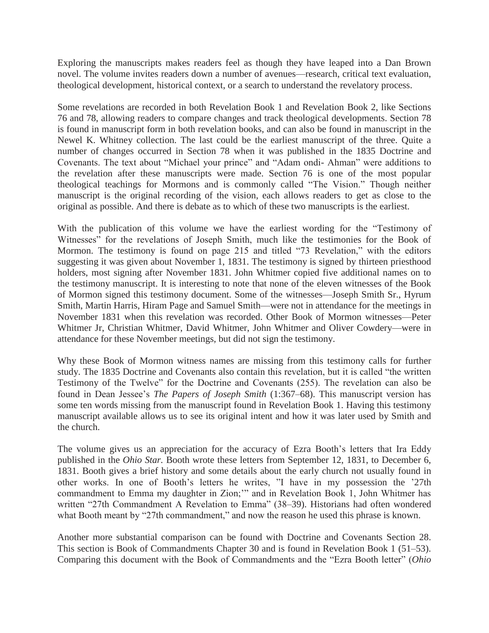Exploring the manuscripts makes readers feel as though they have leaped into a Dan Brown novel. The volume invites readers down a number of avenues—research, critical text evaluation, theological development, historical context, or a search to understand the revelatory process.

Some revelations are recorded in both Revelation Book 1 and Revelation Book 2, like Sections 76 and 78, allowing readers to compare changes and track theological developments. Section 78 is found in manuscript form in both revelation books, and can also be found in manuscript in the Newel K. Whitney collection. The last could be the earliest manuscript of the three. Quite a number of changes occurred in Section 78 when it was published in the 1835 Doctrine and Covenants. The text about "Michael your prince" and "Adam ondi- Ahman" were additions to the revelation after these manuscripts were made. Section 76 is one of the most popular theological teachings for Mormons and is commonly called "The Vision." Though neither manuscript is the original recording of the vision, each allows readers to get as close to the original as possible. And there is debate as to which of these two manuscripts is the earliest.

With the publication of this volume we have the earliest wording for the "Testimony of Witnesses" for the revelations of Joseph Smith, much like the testimonies for the Book of Mormon. The testimony is found on page 215 and titled "73 Revelation," with the editors suggesting it was given about November 1, 1831. The testimony is signed by thirteen priesthood holders, most signing after November 1831. John Whitmer copied five additional names on to the testimony manuscript. It is interesting to note that none of the eleven witnesses of the Book of Mormon signed this testimony document. Some of the witnesses—Joseph Smith Sr., Hyrum Smith, Martin Harris, Hiram Page and Samuel Smith—were not in attendance for the meetings in November 1831 when this revelation was recorded. Other Book of Mormon witnesses—Peter Whitmer Jr, Christian Whitmer, David Whitmer, John Whitmer and Oliver Cowdery—were in attendance for these November meetings, but did not sign the testimony.

Why these Book of Mormon witness names are missing from this testimony calls for further study. The 1835 Doctrine and Covenants also contain this revelation, but it is called "the written Testimony of the Twelve" for the Doctrine and Covenants (255). The revelation can also be found in Dean Jessee's *The Papers of Joseph Smith* (1:367–68). This manuscript version has some ten words missing from the manuscript found in Revelation Book 1. Having this testimony manuscript available allows us to see its original intent and how it was later used by Smith and the church.

The volume gives us an appreciation for the accuracy of Ezra Booth's letters that Ira Eddy published in the *Ohio Star.* Booth wrote these letters from September 12, 1831, to December 6, 1831. Booth gives a brief history and some details about the early church not usually found in other works. In one of Booth's letters he writes, "I have in my possession the '27th commandment to Emma my daughter in Zion;"" and in Revelation Book 1, John Whitmer has written "27th Commandment A Revelation to Emma" (38–39). Historians had often wondered what Booth meant by "27th commandment," and now the reason he used this phrase is known.

Another more substantial comparison can be found with Doctrine and Covenants Section 28. This section is Book of Commandments Chapter 30 and is found in Revelation Book 1 (51–53). Comparing this document with the Book of Commandments and the "Ezra Booth letter" (*Ohio*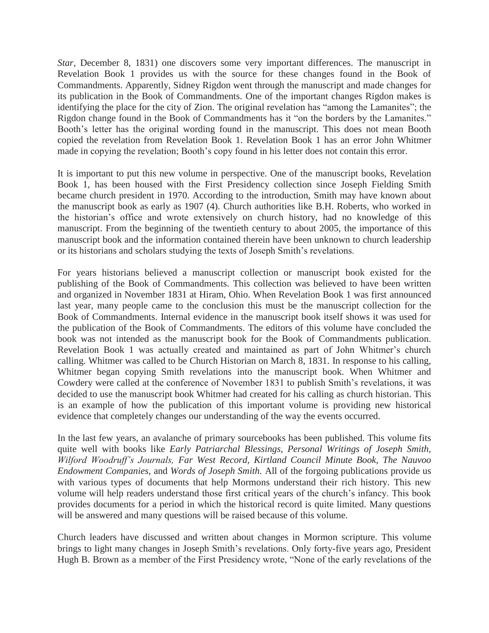*Star, December 8, 1831*) one discovers some very important differences. The manuscript in Revelation Book 1 provides us with the source for these changes found in the Book of Commandments. Apparently, Sidney Rigdon went through the manuscript and made changes for its publication in the Book of Commandments. One of the important changes Rigdon makes is identifying the place for the city of Zion. The original revelation has "among the Lamanites"; the Rigdon change found in the Book of Commandments has it "on the borders by the Lamanites." Booth's letter has the original wording found in the manuscript. This does not mean Booth copied the revelation from Revelation Book 1. Revelation Book 1 has an error John Whitmer made in copying the revelation; Booth's copy found in his letter does not contain this error.

It is important to put this new volume in perspective. One of the manuscript books, Revelation Book 1, has been housed with the First Presidency collection since Joseph Fielding Smith became church president in 1970. According to the introduction, Smith may have known about the manuscript book as early as 1907 (4). Church authorities like B.H. Roberts, who worked in the historian's office and wrote extensively on church history, had no knowledge of this manuscript. From the beginning of the twentieth century to about 2005, the importance of this manuscript book and the information contained therein have been unknown to church leadership or its historians and scholars studying the texts of Joseph Smith's revelations.

For years historians believed a manuscript collection or manuscript book existed for the publishing of the Book of Commandments. This collection was believed to have been written and organized in November 1831 at Hiram, Ohio. When Revelation Book 1 was first announced last year, many people came to the conclusion this must be the manuscript collection for the Book of Commandments. Internal evidence in the manuscript book itself shows it was used for the publication of the Book of Commandments. The editors of this volume have concluded the book was not intended as the manuscript book for the Book of Commandments publication. Revelation Book 1 was actually created and maintained as part of John Whitmer's church calling. Whitmer was called to be Church Historian on March 8, 1831. In response to his calling, Whitmer began copying Smith revelations into the manuscript book. When Whitmer and Cowdery were called at the conference of November 1831 to publish Smith's revelations, it was decided to use the manuscript book Whitmer had created for his calling as church historian. This is an example of how the publication of this important volume is providing new historical evidence that completely changes our understanding of the way the events occurred.

In the last few years, an avalanche of primary sourcebooks has been published. This volume fits quite well with books like *Early Patriarchal Blessings, Personal Writings of Joseph Smith, Wilford Woodruff's Journals, Far West Record, Kirtland Council Minute Book, The Nauvoo Endowment Companies,* and *Words of Joseph Smith.* All of the forgoing publications provide us with various types of documents that help Mormons understand their rich history. This new volume will help readers understand those first critical years of the church's infancy. This book provides documents for a period in which the historical record is quite limited. Many questions will be answered and many questions will be raised because of this volume.

Church leaders have discussed and written about changes in Mormon scripture. This volume brings to light many changes in Joseph Smith's revelations. Only forty-five years ago, President Hugh B. Brown as a member of the First Presidency wrote, "None of the early revelations of the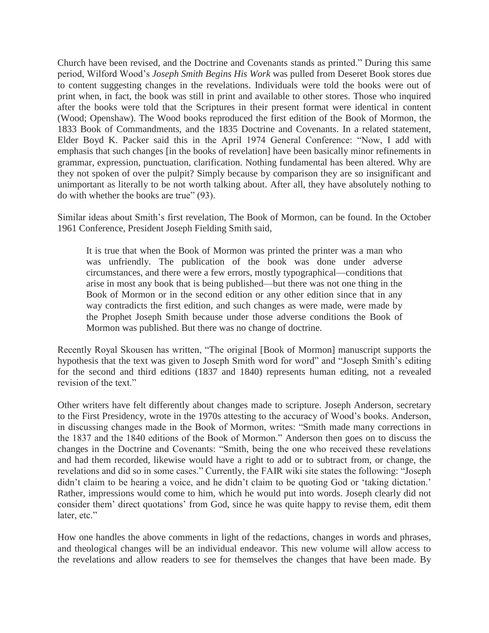Church have been revised, and the Doctrine and Covenants stands as printed." During this same period, Wilford Wood's *Joseph Smith Begins His Work* was pulled from Deseret Book stores due to content suggesting changes in the revelations. Individuals were told the books were out of print when, in fact, the book was still in print and available to other stores. Those who inquired after the books were told that the Scriptures in their present format were identical in content (Wood; Openshaw). The Wood books reproduced the first edition of the Book of Mormon, the 1833 Book of Commandments, and the 1835 Doctrine and Covenants. In a related statement, Elder Boyd K. Packer said this in the April 1974 General Conference: "Now, I add with emphasis that such changes [in the books of revelation] have been basically minor refinements in grammar, expression, punctuation, clarification. Nothing fundamental has been altered. Why are they not spoken of over the pulpit? Simply because by comparison they are so insignificant and unimportant as literally to be not worth talking about. After all, they have absolutely nothing to do with whether the books are true"  $(93)$ .

Similar ideas about Smith's first revelation, The Book of Mormon, can be found. In the October 1961 Conference, President Joseph Fielding Smith said,

It is true that when the Book of Mormon was printed the printer was a man who was unfriendly. The publication of the book was done under adverse circumstances, and there were a few errors, mostly typographical—conditions that arise in most any book that is being published—but there was not one thing in the Book of Mormon or in the second edition or any other edition since that in any way contradicts the first edition, and such changes as were made, were made by the Prophet Joseph Smith because under those adverse conditions the Book of Mormon was published. But there was no change of doctrine.

Recently Royal Skousen has written, "The original [Book of Mormon] manuscript supports the hypothesis that the text was given to Joseph Smith word for word" and "Joseph Smith's editing for the second and third editions (1837 and 1840) represents human editing, not a revealed revision of the text."

Other writers have felt differently about changes made to scripture. Joseph Anderson, secretary to the First Presidency, wrote in the 1970s attesting to the accuracy of Wood's books. Anderson, in discussing changes made in the Book of Mormon, writes: "Smith made many corrections in the 1837 and the 1840 editions of the Book of Mormon." Anderson then goes on to discuss the changes in the Doctrine and Covenants: "Smith, being the one who received these revelations and had them recorded, likewise would have a right to add or to subtract from, or change, the revelations and did so in some cases." Currently, the FAIR wiki site states the following: "Joseph didn't claim to be hearing a voice, and he didn't claim to be quoting God or 'taking dictation.' Rather, impressions would come to him, which he would put into words. Joseph clearly did not consider them' direct quotations' from God, since he was quite happy to revise them, edit them later, etc."

How one handles the above comments in light of the redactions, changes in words and phrases, and theological changes will be an individual endeavor. This new volume will allow access to the revelations and allow readers to see for themselves the changes that have been made. By